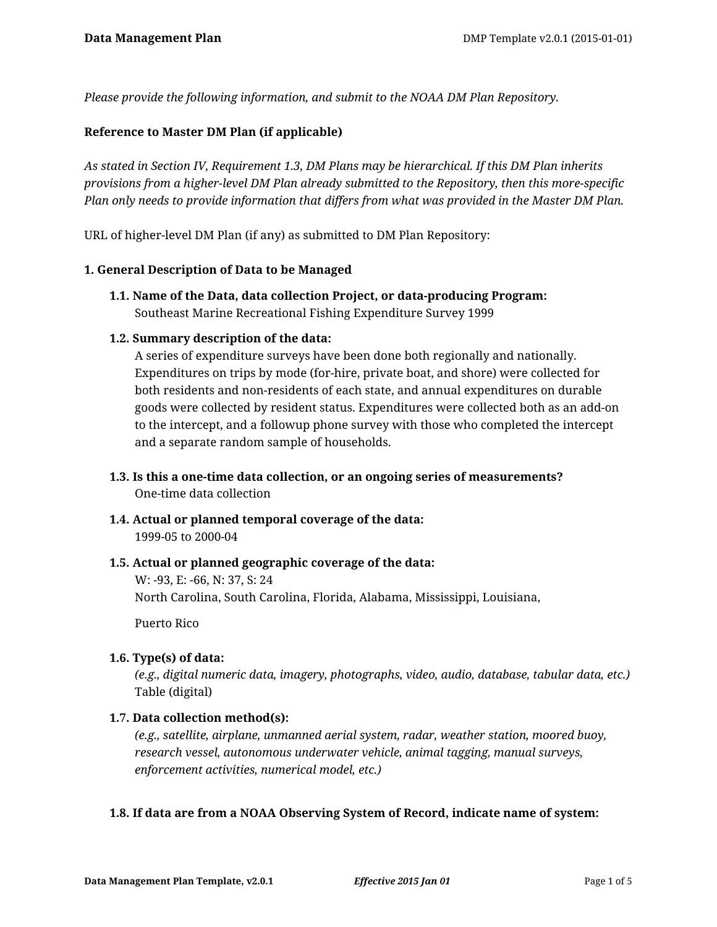*Please provide the following information, and submit to the NOAA DM Plan Repository.*

## **Reference to Master DM Plan (if applicable)**

*As stated in Section IV, Requirement 1.3, DM Plans may be hierarchical. If this DM Plan inherits provisions from a higher-level DM Plan already submitted to the Repository, then this more-specific Plan only needs to provide information that differs from what was provided in the Master DM Plan.*

URL of higher-level DM Plan (if any) as submitted to DM Plan Repository:

#### **1. General Description of Data to be Managed**

**1.1. Name of the Data, data collection Project, or data-producing Program:** Southeast Marine Recreational Fishing Expenditure Survey 1999

#### **1.2. Summary description of the data:**

A series of expenditure surveys have been done both regionally and nationally. Expenditures on trips by mode (for-hire, private boat, and shore) were collected for both residents and non-residents of each state, and annual expenditures on durable goods were collected by resident status. Expenditures were collected both as an add-on to the intercept, and a followup phone survey with those who completed the intercept and a separate random sample of households.

- **1.3. Is this a one-time data collection, or an ongoing series of measurements?** One-time data collection
- **1.4. Actual or planned temporal coverage of the data:** 1999-05 to 2000-04

#### **1.5. Actual or planned geographic coverage of the data:**

W: -93, E: -66, N: 37, S: 24 North Carolina, South Carolina, Florida, Alabama, Mississippi, Louisiana,

Puerto Rico

#### **1.6. Type(s) of data:**

*(e.g., digital numeric data, imagery, photographs, video, audio, database, tabular data, etc.)* Table (digital)

#### **1.7. Data collection method(s):**

*(e.g., satellite, airplane, unmanned aerial system, radar, weather station, moored buoy, research vessel, autonomous underwater vehicle, animal tagging, manual surveys, enforcement activities, numerical model, etc.)*

#### **1.8. If data are from a NOAA Observing System of Record, indicate name of system:**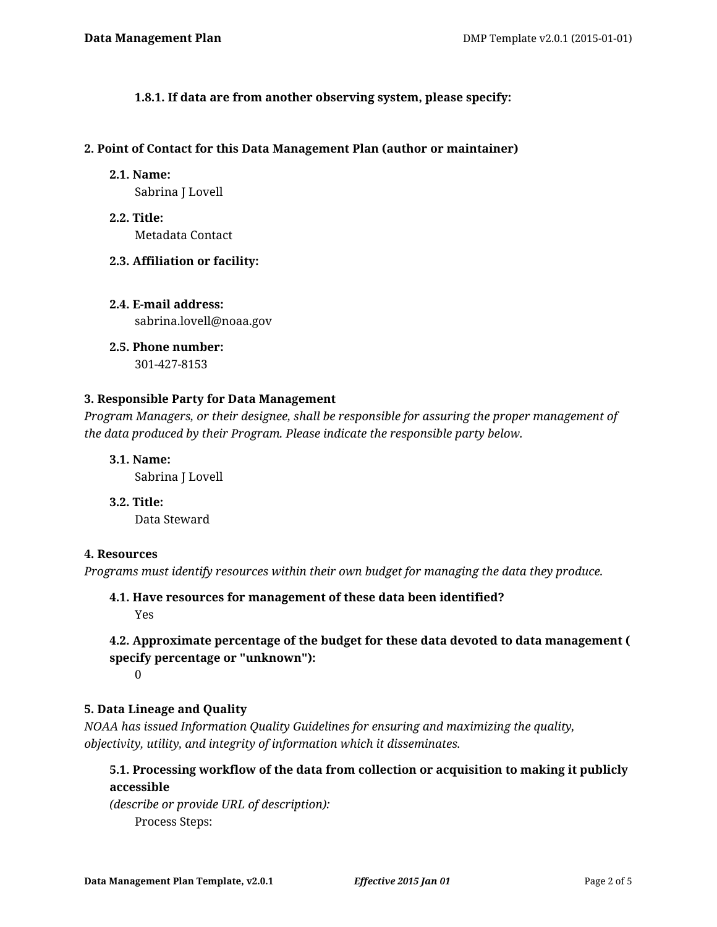**1.8.1. If data are from another observing system, please specify:**

#### **2. Point of Contact for this Data Management Plan (author or maintainer)**

**2.1. Name:**

Sabrina J Lovell

- **2.2. Title:** Metadata Contact
- **2.3. Affiliation or facility:**
- **2.4. E-mail address:** sabrina.lovell@noaa.gov
- **2.5. Phone number:** 301-427-8153

## **3. Responsible Party for Data Management**

*Program Managers, or their designee, shall be responsible for assuring the proper management of the data produced by their Program. Please indicate the responsible party below.*

**3.1. Name:**

Sabrina J Lovell

**3.2. Title:**

Data Steward

## **4. Resources**

*Programs must identify resources within their own budget for managing the data they produce.*

# **4.1. Have resources for management of these data been identified?**

Yes

# **4.2. Approximate percentage of the budget for these data devoted to data management ( specify percentage or "unknown"):**

0

# **5. Data Lineage and Quality**

*NOAA has issued Information Quality Guidelines for ensuring and maximizing the quality, objectivity, utility, and integrity of information which it disseminates.*

# **5.1. Processing workflow of the data from collection or acquisition to making it publicly accessible**

*(describe or provide URL of description):* Process Steps: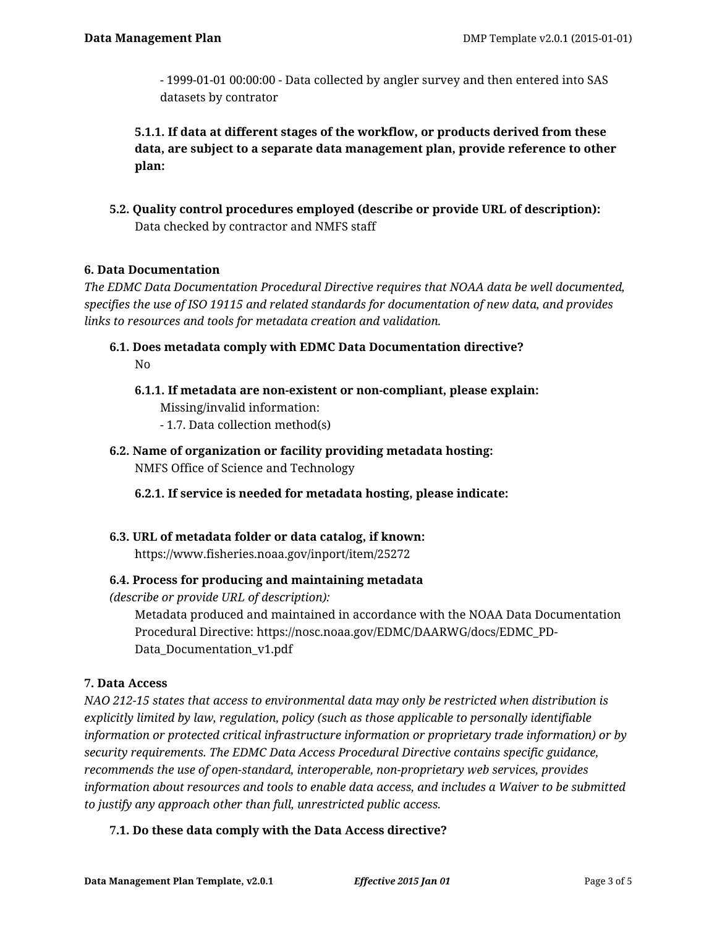- 1999-01-01 00:00:00 - Data collected by angler survey and then entered into SAS datasets by contrator

**5.1.1. If data at different stages of the workflow, or products derived from these data, are subject to a separate data management plan, provide reference to other plan:**

**5.2. Quality control procedures employed (describe or provide URL of description):** Data checked by contractor and NMFS staff

## **6. Data Documentation**

*The EDMC Data Documentation Procedural Directive requires that NOAA data be well documented, specifies the use of ISO 19115 and related standards for documentation of new data, and provides links to resources and tools for metadata creation and validation.*

- **6.1. Does metadata comply with EDMC Data Documentation directive?** No
	- **6.1.1. If metadata are non-existent or non-compliant, please explain:** Missing/invalid information:
		- 1.7. Data collection method(s)
- **6.2. Name of organization or facility providing metadata hosting:** NMFS Office of Science and Technology

**6.2.1. If service is needed for metadata hosting, please indicate:**

**6.3. URL of metadata folder or data catalog, if known:** https://www.fisheries.noaa.gov/inport/item/25272

## **6.4. Process for producing and maintaining metadata**

*(describe or provide URL of description):*

Metadata produced and maintained in accordance with the NOAA Data Documentation Procedural Directive: https://nosc.noaa.gov/EDMC/DAARWG/docs/EDMC\_PD-Data\_Documentation\_v1.pdf

## **7. Data Access**

*NAO 212-15 states that access to environmental data may only be restricted when distribution is explicitly limited by law, regulation, policy (such as those applicable to personally identifiable information or protected critical infrastructure information or proprietary trade information) or by security requirements. The EDMC Data Access Procedural Directive contains specific guidance, recommends the use of open-standard, interoperable, non-proprietary web services, provides information about resources and tools to enable data access, and includes a Waiver to be submitted to justify any approach other than full, unrestricted public access.*

## **7.1. Do these data comply with the Data Access directive?**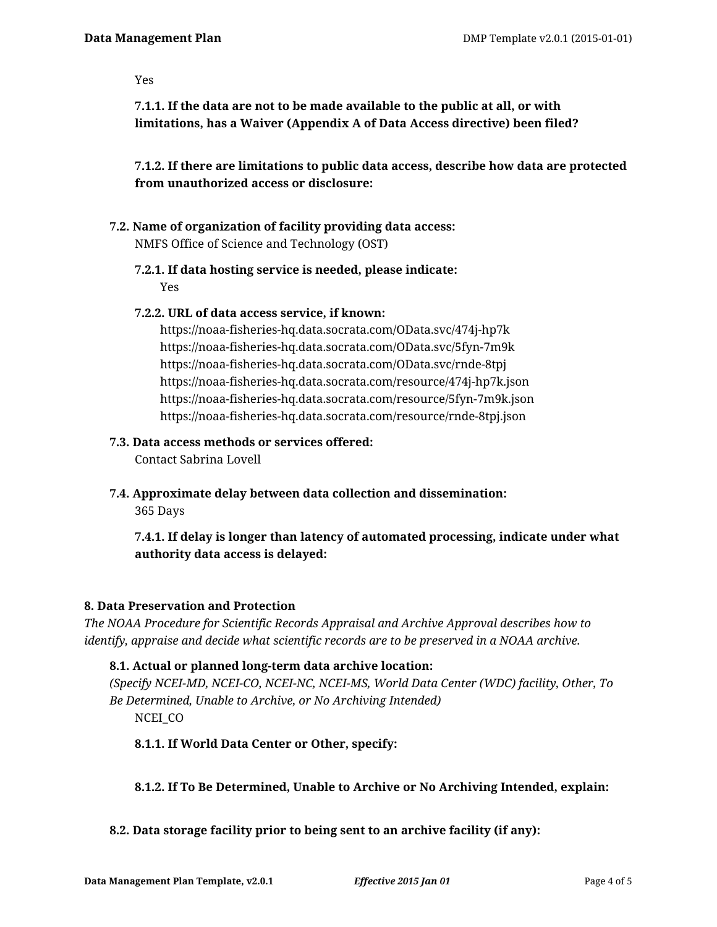#### Yes

**7.1.1. If the data are not to be made available to the public at all, or with limitations, has a Waiver (Appendix A of Data Access directive) been filed?**

**7.1.2. If there are limitations to public data access, describe how data are protected from unauthorized access or disclosure:**

- **7.2. Name of organization of facility providing data access:** NMFS Office of Science and Technology (OST)
	- **7.2.1. If data hosting service is needed, please indicate:** Yes

#### **7.2.2. URL of data access service, if known:**

https://noaa-fisheries-hq.data.socrata.com/OData.svc/474j-hp7k https://noaa-fisheries-hq.data.socrata.com/OData.svc/5fyn-7m9k https://noaa-fisheries-hq.data.socrata.com/OData.svc/rnde-8tpj https://noaa-fisheries-hq.data.socrata.com/resource/474j-hp7k.json https://noaa-fisheries-hq.data.socrata.com/resource/5fyn-7m9k.json https://noaa-fisheries-hq.data.socrata.com/resource/rnde-8tpj.json

#### **7.3. Data access methods or services offered:**

Contact Sabrina Lovell

**7.4. Approximate delay between data collection and dissemination:**

365 Days

**7.4.1. If delay is longer than latency of automated processing, indicate under what authority data access is delayed:**

# **8. Data Preservation and Protection**

*The NOAA Procedure for Scientific Records Appraisal and Archive Approval describes how to identify, appraise and decide what scientific records are to be preserved in a NOAA archive.*

## **8.1. Actual or planned long-term data archive location:**

*(Specify NCEI-MD, NCEI-CO, NCEI-NC, NCEI-MS, World Data Center (WDC) facility, Other, To Be Determined, Unable to Archive, or No Archiving Intended)* NCEI\_CO

## **8.1.1. If World Data Center or Other, specify:**

## **8.1.2. If To Be Determined, Unable to Archive or No Archiving Intended, explain:**

## **8.2. Data storage facility prior to being sent to an archive facility (if any):**